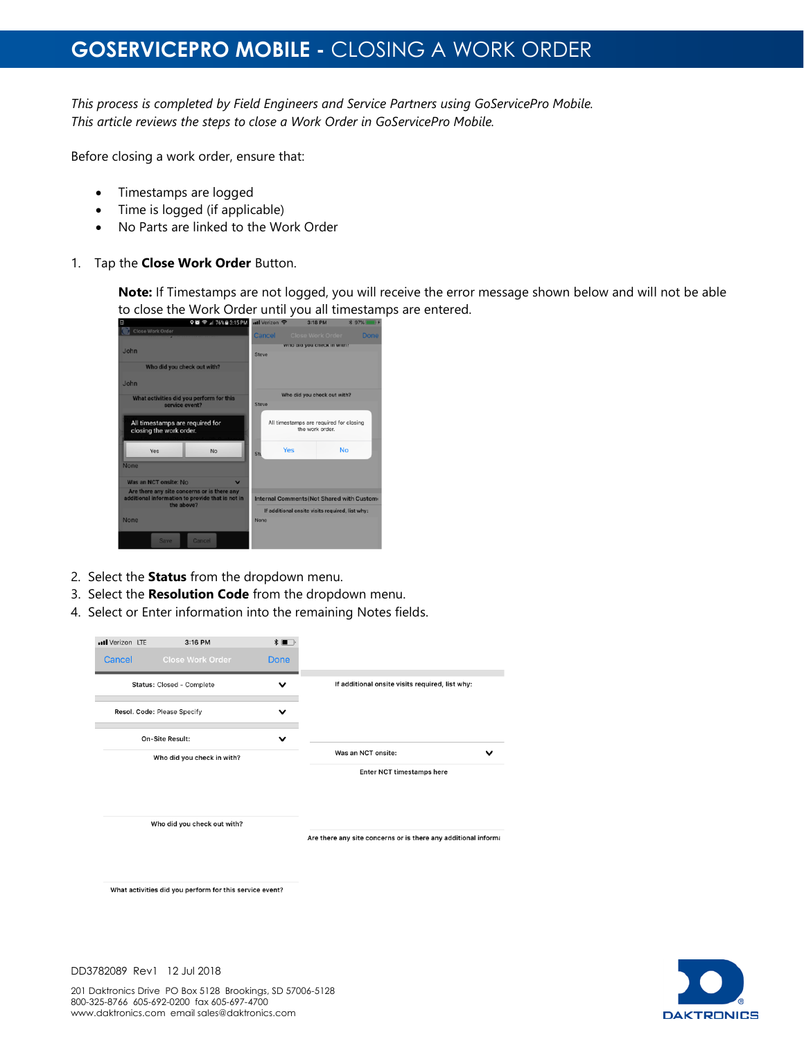## **GOSERVICEPRO MOBILE -** CLOSING A WORK ORDER

*This process is completed by Field Engineers and Service Partners using GoServicePro Mobile. This article reviews the steps to close a Work Order in GoServicePro Mobile.*

Before closing a work order, ensure that:

- Timestamps are logged
- Time is logged (if applicable)
- No Parts are linked to the Work Order
- 1. Tap the **Close Work Order** Button.

**Note:** If Timestamps are not logged, you will receive the error message shown below and will not be able to close the Work Order until you all timestamps are entered.

| <b>♀●</b> → 76% B 3:15 PM<br>冒                                                                                | utl Verizon 수                                              |                                                 | 3:18 PM          | * 97% |
|---------------------------------------------------------------------------------------------------------------|------------------------------------------------------------|-------------------------------------------------|------------------|-------|
| Close Work Order                                                                                              | Cancel                                                     |                                                 | Close Work Order | Done  |
| <b>John</b>                                                                                                   |                                                            | who all you check in with?                      |                  |       |
|                                                                                                               | Steve                                                      |                                                 |                  |       |
| Who did you check out with?                                                                                   |                                                            |                                                 |                  |       |
| .John                                                                                                         |                                                            |                                                 |                  |       |
| What activities did you perform for this                                                                      | Who did you check out with?                                |                                                 |                  |       |
| service event?                                                                                                | Steve                                                      |                                                 |                  |       |
| All timestamps are required for<br>closing the work order.                                                    | All timestamps are required for closing<br>the work order. |                                                 |                  |       |
| Yes<br><b>No</b>                                                                                              | Sti                                                        | Yes                                             | <b>No</b>        |       |
| <b>None</b>                                                                                                   |                                                            |                                                 |                  |       |
| Was an NCT onsite: No<br>$\overline{\mathbf{v}}$                                                              |                                                            |                                                 |                  |       |
| Are there any site concerns or is there any<br>additional information to provide that is not in<br>the above? | Internal Comments (Not Shared with Custom                  |                                                 |                  |       |
|                                                                                                               |                                                            | If additional onsite visits required, list why: |                  |       |
| <b>None</b>                                                                                                   | None                                                       |                                                 |                  |       |
| Cancel<br><b>Save</b>                                                                                         |                                                            |                                                 |                  |       |

- 2. Select the **Status** from the dropdown menu.
- 3. Select the **Resolution Code** from the dropdown menu.
- 4. Select or Enter information into the remaining Notes fields.





DD3782089 Rev1 12 Jul 2018